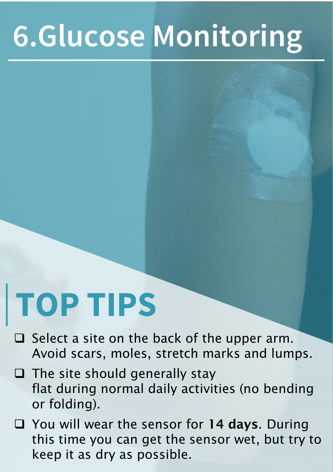## **6.Glucose Monitoring**

# **TOP TIPS**

- $\Box$  Select a site on the back of the upper arm. Avoid scars, moles, stretch marks and lumps.
- ❑ The site should generally stay flat during normal daily activities (no bending or folding).
- □ You will wear the sensor for 14 days. During this time you can get the sensor wet, but try to keep it as dry as possible.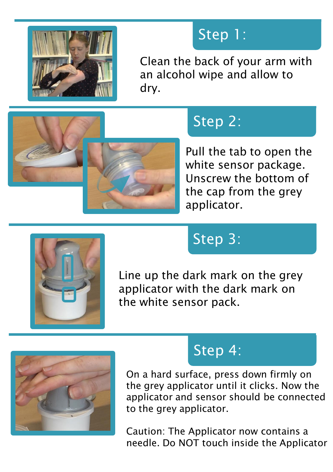

#### Step 1:

Clean the back of your arm with an alcohol wipe and allow to dry.



## Step 2:

Pull the tab to open the white sensor package. Unscrew the bottom of the cap from the grey applicator.



#### Step 3:

Line up the dark mark on the grey applicator with the dark mark on the white sensor pack.



#### Step 4:

On a hard surface, press down firmly on the grey applicator until it clicks. Now the applicator and sensor should be connected to the grey applicator.

Caution: The Applicator now contains a needle. Do NOT touch inside the Applicator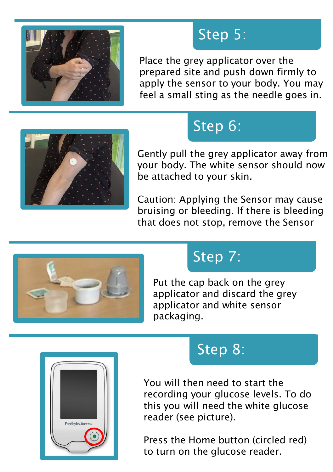

#### Step 5:

Place the grey applicator over the prepared site and push down firmly to apply the sensor to your body. You may feel a small sting as the needle goes in.



## Step 6:

Gently pull the grey applicator away from your body. The white sensor should now be attached to your skin.

Caution: Applying the Sensor may cause bruising or bleeding. If there is bleeding that does not stop, remove the Sensor



#### Step 7:

Put the cap back on the grey applicator and discard the grey applicator and white sensor packaging.



#### Step 8:

You will then need to start the recording your glucose levels. To do this you will need the white glucose reader (see picture).

Press the Home button (circled red) to turn on the glucose reader.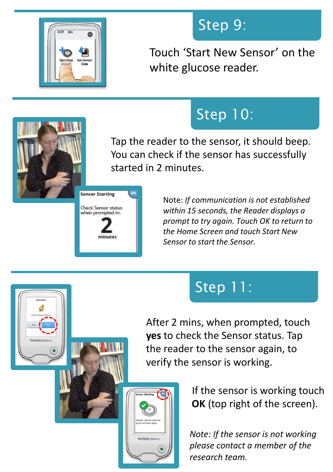

#### Step 9:

Touch 'Start New Sensor' on the white glucose reader.



## Step 10:

Tap the reader to the sensor, it should beep. You can check if the sensor has successfully started in 2 minutes.



meStyle Libro

Note: *If communication is not established within 15 seconds, the Reader displays a prompt to try again. Touch OK to return to the Home Screen and touch Start New Sensor to start the Sensor.*

#### Step 11:

After 2 mins, when prompted, touch **yes** to check the Sensor status. Tap the reader to the sensor again, to verify the sensor is working.

> If the sensor is working touch **OK** (top right of the screen).

*Note: If the sensor is not working please contact a member of the research team.*